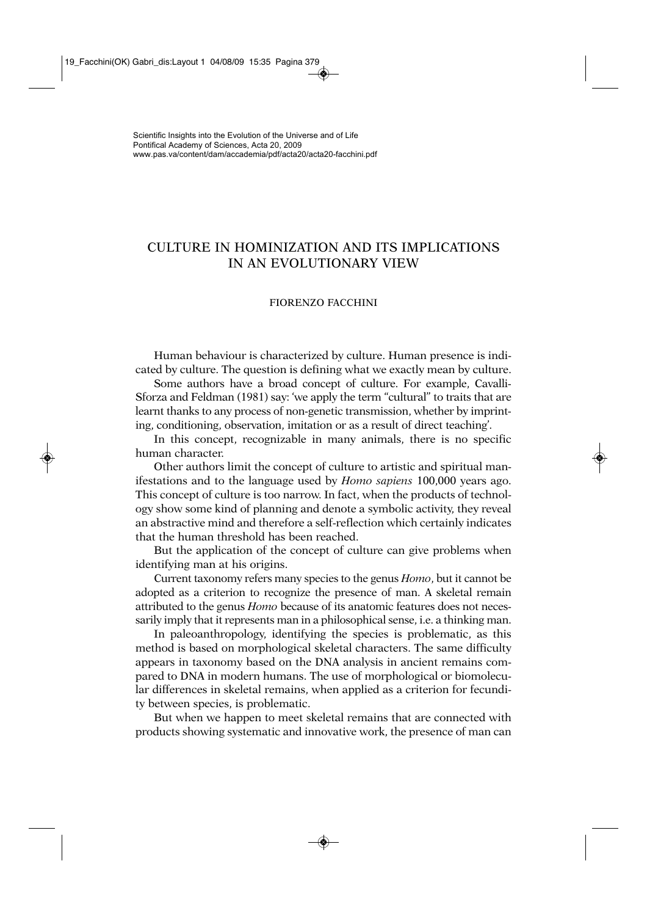# CULTURE IN HOMINIZATION AND ITS IMPLICATIONS IN AN EVOLUTIONARY VIEW

# FIORENZO FACCHINI

Human behaviour is characterized by culture. Human presence is indicated by culture. The question is defining what we exactly mean by culture.

Some authors have a broad concept of culture. For example, Cavalli-Sforza and Feldman (1981) say: 'we apply the term "cultural" to traits that are learnt thanks to any process of non-genetic transmission, whether by imprinting, conditioning, observation, imitation or as a result of direct teaching'.

In this concept, recognizable in many animals, there is no specific human character.

Other authors limit the concept of culture to artistic and spiritual manifestations and to the language used by *Homo sapiens* 100,000 years ago. This concept of culture is too narrow. In fact, when the products of technology show some kind of planning and denote a symbolic activity, they reveal an abstractive mind and therefore a self-reflection which certainly indicates that the human threshold has been reached.

But the application of the concept of culture can give problems when identifying man at his origins.

Current taxonomy refers many species to the genus *Homo*, but it cannot be adopted as a criterion to recognize the presence of man. A skeletal remain attributed to the genus *Homo* because of its anatomic features does not necessarily imply that it represents man in a philosophical sense, i.e. a thinking man.

In paleoanthropology, identifying the species is problematic, as this method is based on morphological skeletal characters. The same difficulty appears in taxonomy based on the DNA analysis in ancient remains compared to DNA in modern humans. The use of morphological or biomolecular differences in skeletal remains, when applied as a criterion for fecundity between species, is problematic.

But when we happen to meet skeletal remains that are connected with products showing systematic and innovative work, the presence of man can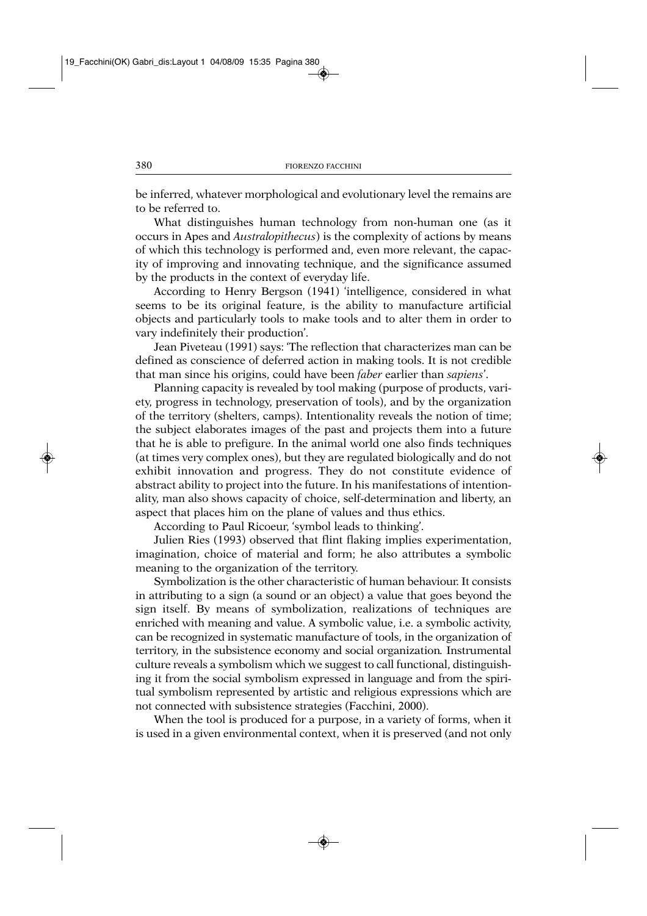be inferred, whatever morphological and evolutionary level the remains are to be referred to.

What distinguishes human technology from non-human one (as it occurs in Apes and *Australopithecus*) is the complexity of actions by means of which this technology is performed and, even more relevant, the capacity of improving and innovating technique, and the significance assumed by the products in the context of everyday life.

According to Henry Bergson (1941) 'intelligence, considered in what seems to be its original feature, is the ability to manufacture artificial objects and particularly tools to make tools and to alter them in order to vary indefinitely their production'.

Jean Piveteau (1991) says: 'The reflection that characterizes man can be defined as conscience of deferred action in making tools. It is not credible that man since his origins, could have been *faber* earlier than *sapiens*'.

Planning capacity is revealed by tool making (purpose of products, variety, progress in technology, preservation of tools), and by the organization of the territory (shelters, camps). Intentionality reveals the notion of time; the subject elaborates images of the past and projects them into a future that he is able to prefigure. In the animal world one also finds techniques (at times very complex ones), but they are regulated biologically and do not exhibit innovation and progress. They do not constitute evidence of abstract ability to project into the future. In his manifestations of intentionality, man also shows capacity of choice, self-determination and liberty, an aspect that places him on the plane of values and thus ethics.

According to Paul Ricoeur, 'symbol leads to thinking'.

Julien Ries (1993) observed that flint flaking implies experimentation, imagination, choice of material and form; he also attributes a symbolic meaning to the organization of the territory.

Symbolization is the other characteristic of human behaviour. It consists in attributing to a sign (a sound or an object) a value that goes beyond the sign itself. By means of symbolization, realizations of techniques are enriched with meaning and value. A symbolic value, i.e. a symbolic activity, can be recognized in systematic manufacture of tools, in the organization of territory, in the subsistence economy and social organization*.* Instrumental culture reveals a symbolism which we suggest to call functional, distinguishing it from the social symbolism expressed in language and from the spiritual symbolism represented by artistic and religious expressions which are not connected with subsistence strategies (Facchini, 2000).

When the tool is produced for a purpose, in a variety of forms, when it is used in a given environmental context, when it is preserved (and not only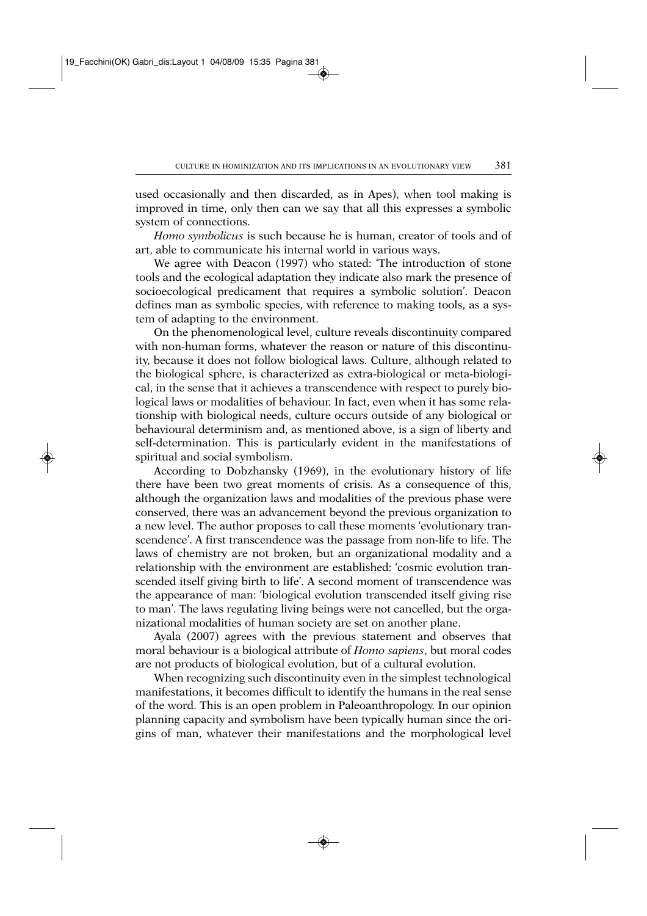used occasionally and then discarded, as in Apes), when tool making is improved in time, only then can we say that all this expresses a symbolic system of connections.

*Homo symbolicus* is such because he is human, creator of tools and of art, able to communicate his internal world in various ways.

We agree with Deacon (1997) who stated: 'The introduction of stone tools and the ecological adaptation they indicate also mark the presence of socioecological predicament that requires a symbolic solution'. Deacon defines man as symbolic species, with reference to making tools, as a system of adapting to the environment.

On the phenomenological level, culture reveals discontinuity compared with non-human forms, whatever the reason or nature of this discontinuity, because it does not follow biological laws. Culture, although related to the biological sphere, is characterized as extra-biological or meta-biological, in the sense that it achieves a transcendence with respect to purely biological laws or modalities of behaviour. In fact, even when it has some relationship with biological needs, culture occurs outside of any biological or behavioural determinism and, as mentioned above, is a sign of liberty and self-determination. This is particularly evident in the manifestations of spiritual and social symbolism.

According to Dobzhansky (1969), in the evolutionary history of life there have been two great moments of crisis. As a consequence of this, although the organization laws and modalities of the previous phase were conserved, there was an advancement beyond the previous organization to a new level. The author proposes to call these moments 'evolutionary transcendence'. A first transcendence was the passage from non-life to life. The laws of chemistry are not broken, but an organizational modality and a relationship with the environment are established: 'cosmic evolution transcended itself giving birth to life'. A second moment of transcendence was the appearance of man: 'biological evolution transcended itself giving rise to man'. The laws regulating living beings were not cancelled, but the organizational modalities of human society are set on another plane.

Ayala (2007) agrees with the previous statement and observes that moral behaviour is a biological attribute of *Homo sapiens*, but moral codes are not products of biological evolution, but of a cultural evolution.

When recognizing such discontinuity even in the simplest technological manifestations, it becomes difficult to identify the humans in the real sense of the word. This is an open problem in Paleoanthropology. In our opinion planning capacity and symbolism have been typically human since the origins of man, whatever their manifestations and the morphological level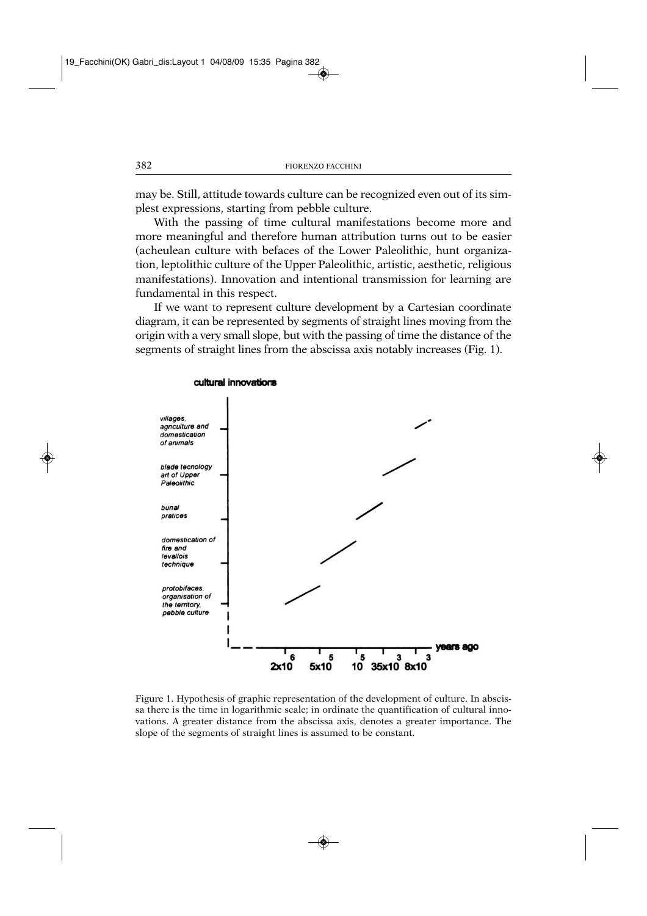may be. Still, attitude towards culture can be recognized even out of its simplest expressions, starting from pebble culture.

With the passing of time cultural manifestations become more and more meaningful and therefore human attribution turns out to be easier (acheulean culture with befaces of the Lower Paleolithic, hunt organization, leptolithic culture of the Upper Paleolithic, artistic, aesthetic, religious manifestations). Innovation and intentional transmission for learning are fundamental in this respect.

If we want to represent culture development by a Cartesian coordinate diagram, it can be represented by segments of straight lines moving from the origin with a very small slope, but with the passing of time the distance of the segments of straight lines from the abscissa axis notably increases (Fig. 1).



cultural innovations

Figure 1. Hypothesis of graphic representation of the development of culture. In abscissa there is the time in logarithmic scale; in ordinate the quantification of cultural innovations. A greater distance from the abscissa axis, denotes a greater importance. The slope of the segments of straight lines is assumed to be constant.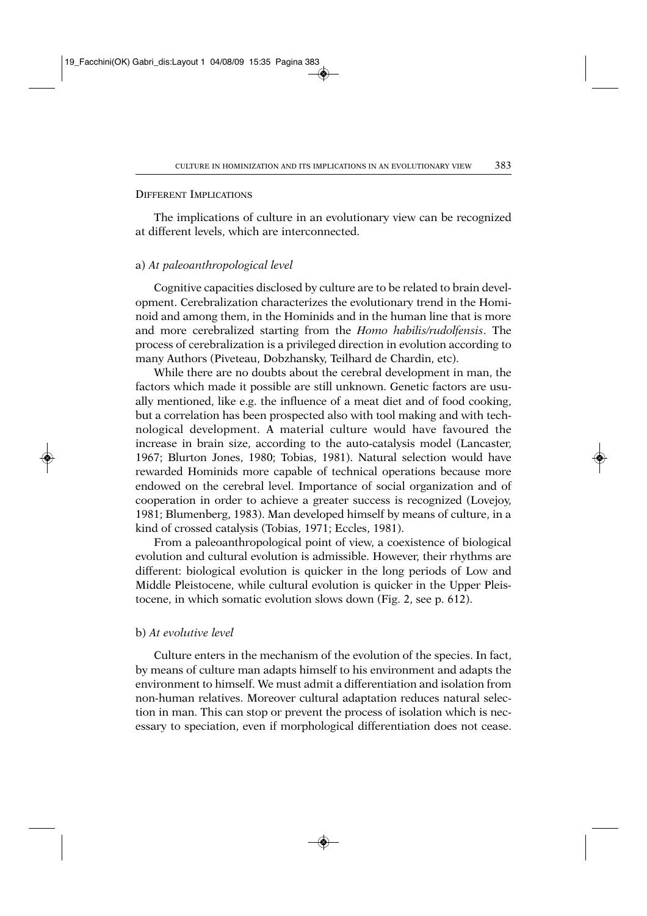#### DIFFERENT IMPLICATIONS

The implications of culture in an evolutionary view can be recognized at different levels, which are interconnected.

## a) *At paleoanthropological level*

Cognitive capacities disclosed by culture are to be related to brain development. Cerebralization characterizes the evolutionary trend in the Hominoid and among them, in the Hominids and in the human line that is more and more cerebralized starting from the *Homo habilis/rudolfensis*. The process of cerebralization is a privileged direction in evolution according to many Authors (Piveteau, Dobzhansky, Teilhard de Chardin, etc).

While there are no doubts about the cerebral development in man, the factors which made it possible are still unknown. Genetic factors are usually mentioned, like e.g. the influence of a meat diet and of food cooking, but a correlation has been prospected also with tool making and with technological development. A material culture would have favoured the increase in brain size, according to the auto-catalysis model (Lancaster, 1967; Blurton Jones, 1980; Tobias, 1981). Natural selection would have rewarded Hominids more capable of technical operations because more endowed on the cerebral level. Importance of social organization and of cooperation in order to achieve a greater success is recognized (Lovejoy, 1981; Blumenberg, 1983). Man developed himself by means of culture, in a kind of crossed catalysis (Tobias, 1971; Eccles, 1981).

From a paleoanthropological point of view, a coexistence of biological evolution and cultural evolution is admissible. However, their rhythms are different: biological evolution is quicker in the long periods of Low and Middle Pleistocene, while cultural evolution is quicker in the Upper Pleistocene, in which somatic evolution slows down (Fig. 2, see p. 612).

### b) *At evolutive level*

Culture enters in the mechanism of the evolution of the species. In fact, by means of culture man adapts himself to his environment and adapts the environment to himself. We must admit a differentiation and isolation from non-human relatives. Moreover cultural adaptation reduces natural selection in man. This can stop or prevent the process of isolation which is necessary to speciation, even if morphological differentiation does not cease.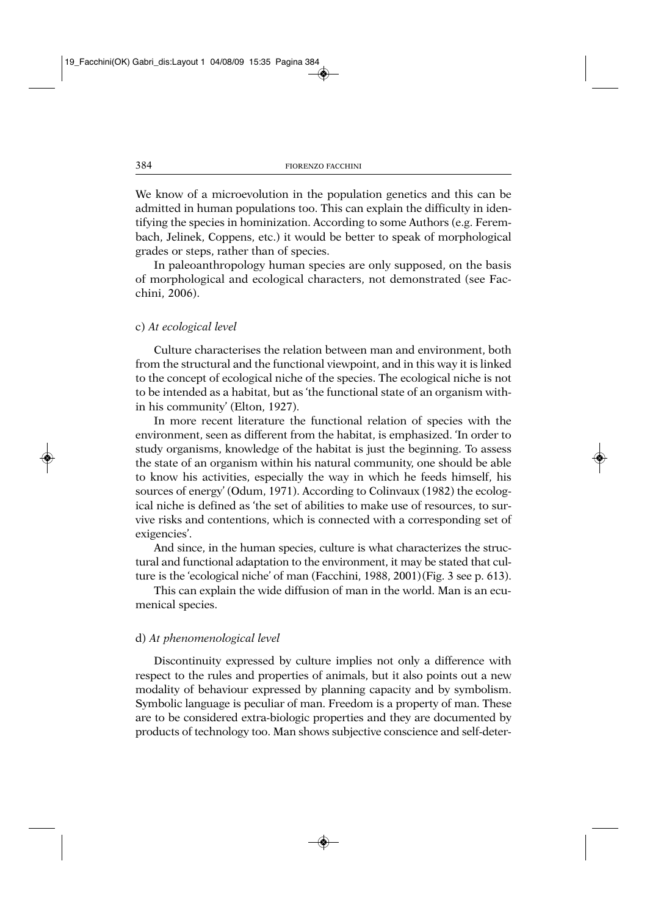We know of a microevolution in the population genetics and this can be admitted in human populations too. This can explain the difficulty in identifying the species in hominization. According to some Authors (e.g. Ferembach, Jelinek, Coppens, etc.) it would be better to speak of morphological grades or steps, rather than of species.

In paleoanthropology human species are only supposed, on the basis of morphological and ecological characters, not demonstrated (see Facchini, 2006).

#### c) *At ecological level*

Culture characterises the relation between man and environment, both from the structural and the functional viewpoint, and in this way it is linked to the concept of ecological niche of the species. The ecological niche is not to be intended as a habitat, but as 'the functional state of an organism within his community' (Elton, 1927).

In more recent literature the functional relation of species with the environment, seen as different from the habitat, is emphasized. 'In order to study organisms, knowledge of the habitat is just the beginning. To assess the state of an organism within his natural community, one should be able to know his activities, especially the way in which he feeds himself, his sources of energy' (Odum, 1971). According to Colinvaux (1982) the ecological niche is defined as 'the set of abilities to make use of resources, to survive risks and contentions, which is connected with a corresponding set of exigencies'.

And since, in the human species, culture is what characterizes the structural and functional adaptation to the environment, it may be stated that culture is the 'ecological niche' of man (Facchini, 1988, 2001)(Fig. 3 see p. 613).

This can explain the wide diffusion of man in the world. Man is an ecumenical species.

#### d) *At phenomenological level*

Discontinuity expressed by culture implies not only a difference with respect to the rules and properties of animals, but it also points out a new modality of behaviour expressed by planning capacity and by symbolism. Symbolic language is peculiar of man. Freedom is a property of man. These are to be considered extra-biologic properties and they are documented by products of technology too. Man shows subjective conscience and self-deter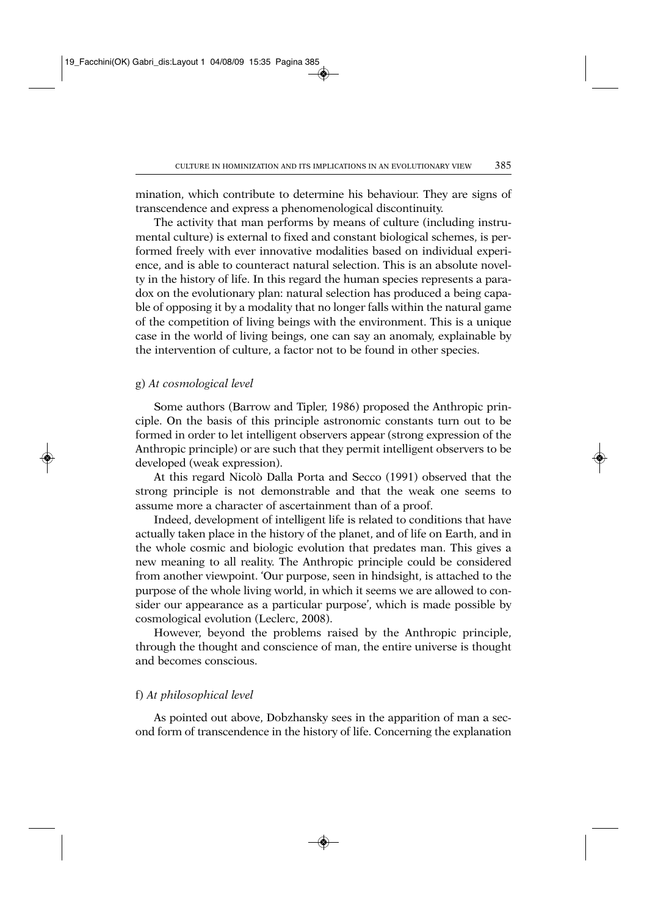mination, which contribute to determine his behaviour. They are signs of transcendence and express a phenomenological discontinuity.

The activity that man performs by means of culture (including instrumental culture) is external to fixed and constant biological schemes, is performed freely with ever innovative modalities based on individual experience, and is able to counteract natural selection. This is an absolute novelty in the history of life. In this regard the human species represents a paradox on the evolutionary plan: natural selection has produced a being capable of opposing it by a modality that no longer falls within the natural game of the competition of living beings with the environment. This is a unique case in the world of living beings, one can say an anomaly, explainable by the intervention of culture, a factor not to be found in other species.

## g) *At cosmological level*

Some authors (Barrow and Tipler, 1986) proposed the Anthropic principle. On the basis of this principle astronomic constants turn out to be formed in order to let intelligent observers appear (strong expression of the Anthropic principle) or are such that they permit intelligent observers to be developed (weak expression).

At this regard Nicolò Dalla Porta and Secco (1991) observed that the strong principle is not demonstrable and that the weak one seems to assume more a character of ascertainment than of a proof.

Indeed, development of intelligent life is related to conditions that have actually taken place in the history of the planet, and of life on Earth, and in the whole cosmic and biologic evolution that predates man. This gives a new meaning to all reality. The Anthropic principle could be considered from another viewpoint. 'Our purpose, seen in hindsight, is attached to the purpose of the whole living world, in which it seems we are allowed to consider our appearance as a particular purpose', which is made possible by cosmological evolution (Leclerc, 2008).

However, beyond the problems raised by the Anthropic principle, through the thought and conscience of man, the entire universe is thought and becomes conscious.

## f) *At philosophical level*

As pointed out above, Dobzhansky sees in the apparition of man a second form of transcendence in the history of life. Concerning the explanation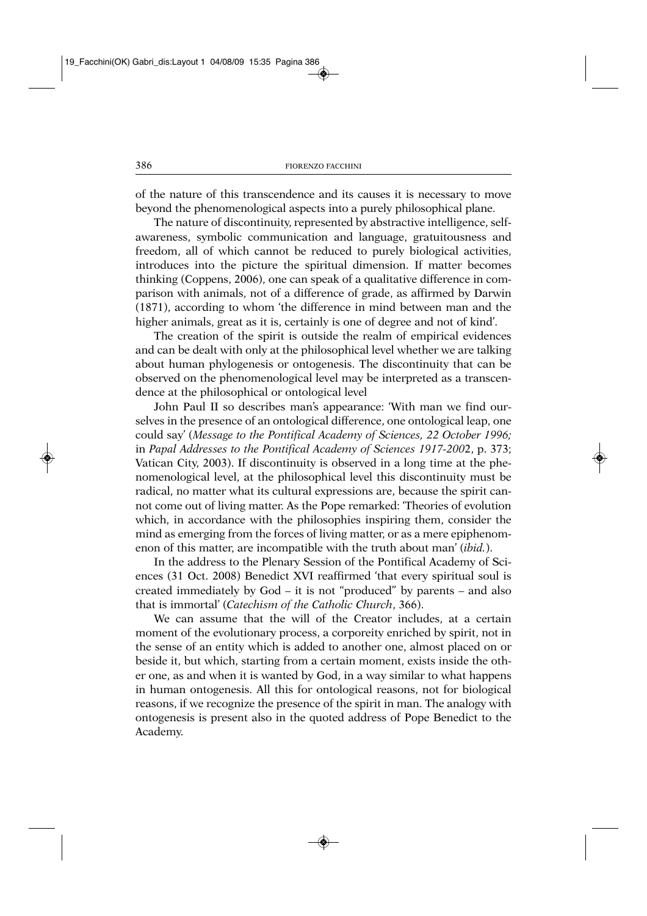of the nature of this transcendence and its causes it is necessary to move beyond the phenomenological aspects into a purely philosophical plane.

The nature of discontinuity, represented by abstractive intelligence, selfawareness, symbolic communication and language, gratuitousness and freedom, all of which cannot be reduced to purely biological activities, introduces into the picture the spiritual dimension. If matter becomes thinking (Coppens, 2006), one can speak of a qualitative difference in comparison with animals, not of a difference of grade, as affirmed by Darwin (1871), according to whom 'the difference in mind between man and the higher animals, great as it is, certainly is one of degree and not of kind'.

The creation of the spirit is outside the realm of empirical evidences and can be dealt with only at the philosophical level whether we are talking about human phylogenesis or ontogenesis. The discontinuity that can be observed on the phenomenological level may be interpreted as a transcendence at the philosophical or ontological level

John Paul II so describes man's appearance: 'With man we find ourselves in the presence of an ontological difference, one ontological leap, one could say' (*Message to the Pontifical Academy of Sciences, 22 October 1996;* in *Papal Addresses to the Pontifical Academy of Sciences 1917-200*2, p. 373; Vatican City, 2003). If discontinuity is observed in a long time at the phenomenological level, at the philosophical level this discontinuity must be radical, no matter what its cultural expressions are, because the spirit cannot come out of living matter. As the Pope remarked: 'Theories of evolution which, in accordance with the philosophies inspiring them, consider the mind as emerging from the forces of living matter, or as a mere epiphenomenon of this matter, are incompatible with the truth about man' (*ibid.*).

In the address to the Plenary Session of the Pontifical Academy of Sciences (31 Oct. 2008) Benedict XVI reaffirmed 'that every spiritual soul is created immediately by God – it is not "produced" by parents – and also that is immortal' (*Catechism of the Catholic Church*, 366).

We can assume that the will of the Creator includes, at a certain moment of the evolutionary process, a corporeity enriched by spirit, not in the sense of an entity which is added to another one, almost placed on or beside it, but which, starting from a certain moment, exists inside the other one, as and when it is wanted by God, in a way similar to what happens in human ontogenesis. All this for ontological reasons, not for biological reasons, if we recognize the presence of the spirit in man. The analogy with ontogenesis is present also in the quoted address of Pope Benedict to the Academy.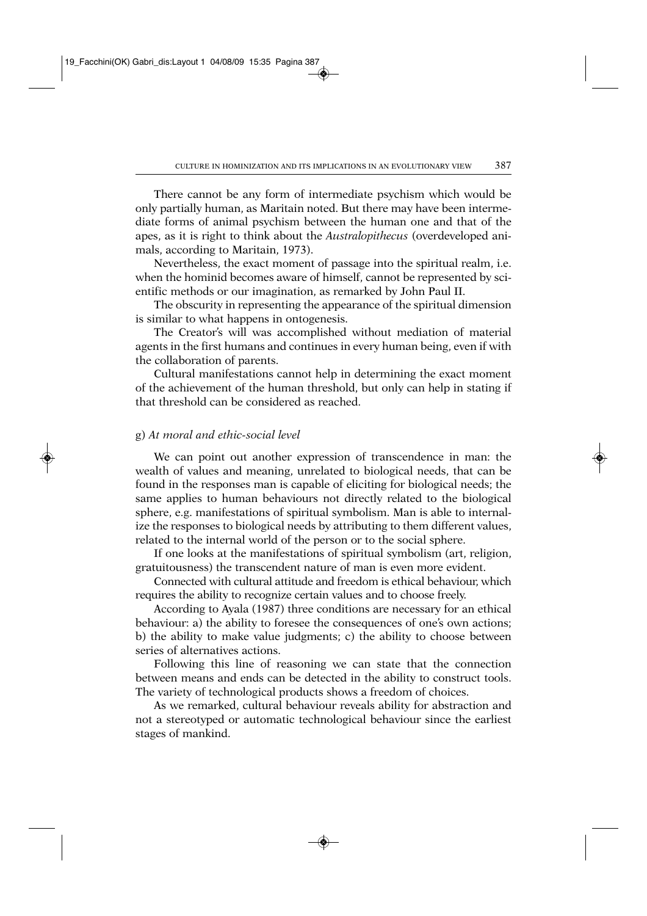There cannot be any form of intermediate psychism which would be only partially human, as Maritain noted. But there may have been intermediate forms of animal psychism between the human one and that of the apes, as it is right to think about the *Australopithecus* (overdeveloped animals, according to Maritain, 1973).

Nevertheless, the exact moment of passage into the spiritual realm, i.e. when the hominid becomes aware of himself, cannot be represented by scientific methods or our imagination, as remarked by John Paul II.

The obscurity in representing the appearance of the spiritual dimension is similar to what happens in ontogenesis.

The Creator's will was accomplished without mediation of material agents in the first humans and continues in every human being, even if with the collaboration of parents.

Cultural manifestations cannot help in determining the exact moment of the achievement of the human threshold, but only can help in stating if that threshold can be considered as reached.

# g) *At moral and ethic-social level*

We can point out another expression of transcendence in man: the wealth of values and meaning, unrelated to biological needs, that can be found in the responses man is capable of eliciting for biological needs; the same applies to human behaviours not directly related to the biological sphere, e.g. manifestations of spiritual symbolism. Man is able to internalize the responses to biological needs by attributing to them different values, related to the internal world of the person or to the social sphere.

If one looks at the manifestations of spiritual symbolism (art, religion, gratuitousness) the transcendent nature of man is even more evident.

Connected with cultural attitude and freedom is ethical behaviour, which requires the ability to recognize certain values and to choose freely.

According to Ayala (1987) three conditions are necessary for an ethical behaviour: a) the ability to foresee the consequences of one's own actions; b) the ability to make value judgments; c) the ability to choose between series of alternatives actions.

Following this line of reasoning we can state that the connection between means and ends can be detected in the ability to construct tools. The variety of technological products shows a freedom of choices.

As we remarked, cultural behaviour reveals ability for abstraction and not a stereotyped or automatic technological behaviour since the earliest stages of mankind.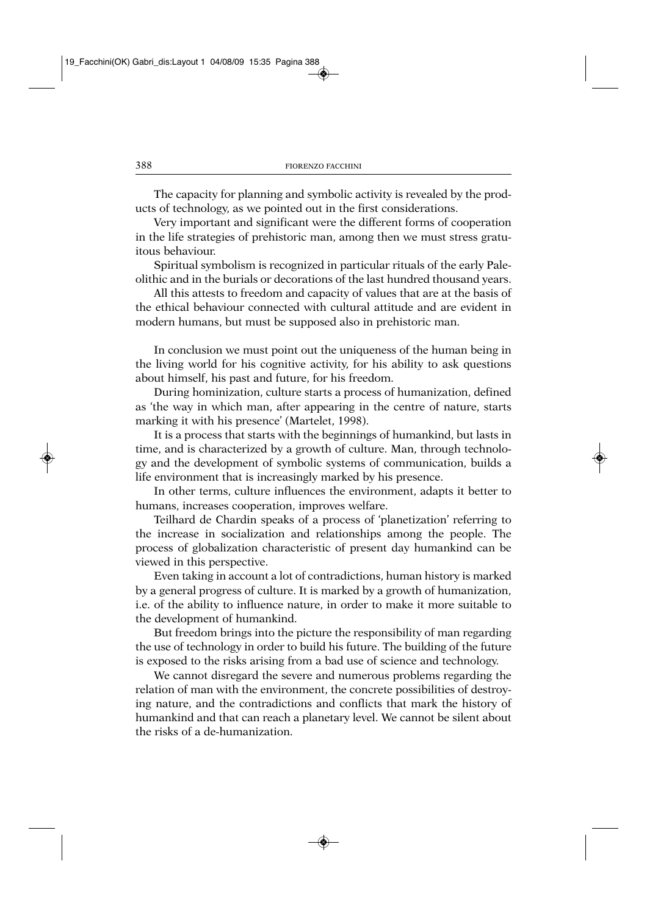The capacity for planning and symbolic activity is revealed by the products of technology, as we pointed out in the first considerations.

Very important and significant were the different forms of cooperation in the life strategies of prehistoric man, among then we must stress gratuitous behaviour.

Spiritual symbolism is recognized in particular rituals of the early Paleolithic and in the burials or decorations of the last hundred thousand years.

All this attests to freedom and capacity of values that are at the basis of the ethical behaviour connected with cultural attitude and are evident in modern humans, but must be supposed also in prehistoric man.

In conclusion we must point out the uniqueness of the human being in the living world for his cognitive activity, for his ability to ask questions about himself, his past and future, for his freedom.

During hominization, culture starts a process of humanization, defined as 'the way in which man, after appearing in the centre of nature, starts marking it with his presence' (Martelet, 1998).

It is a process that starts with the beginnings of humankind, but lasts in time, and is characterized by a growth of culture. Man, through technology and the development of symbolic systems of communication, builds a life environment that is increasingly marked by his presence.

In other terms, culture influences the environment, adapts it better to humans, increases cooperation, improves welfare.

Teilhard de Chardin speaks of a process of 'planetization' referring to the increase in socialization and relationships among the people. The process of globalization characteristic of present day humankind can be viewed in this perspective.

Even taking in account a lot of contradictions, human history is marked by a general progress of culture. It is marked by a growth of humanization, i.e. of the ability to influence nature, in order to make it more suitable to the development of humankind.

But freedom brings into the picture the responsibility of man regarding the use of technology in order to build his future. The building of the future is exposed to the risks arising from a bad use of science and technology.

We cannot disregard the severe and numerous problems regarding the relation of man with the environment, the concrete possibilities of destroying nature, and the contradictions and conflicts that mark the history of humankind and that can reach a planetary level. We cannot be silent about the risks of a de-humanization.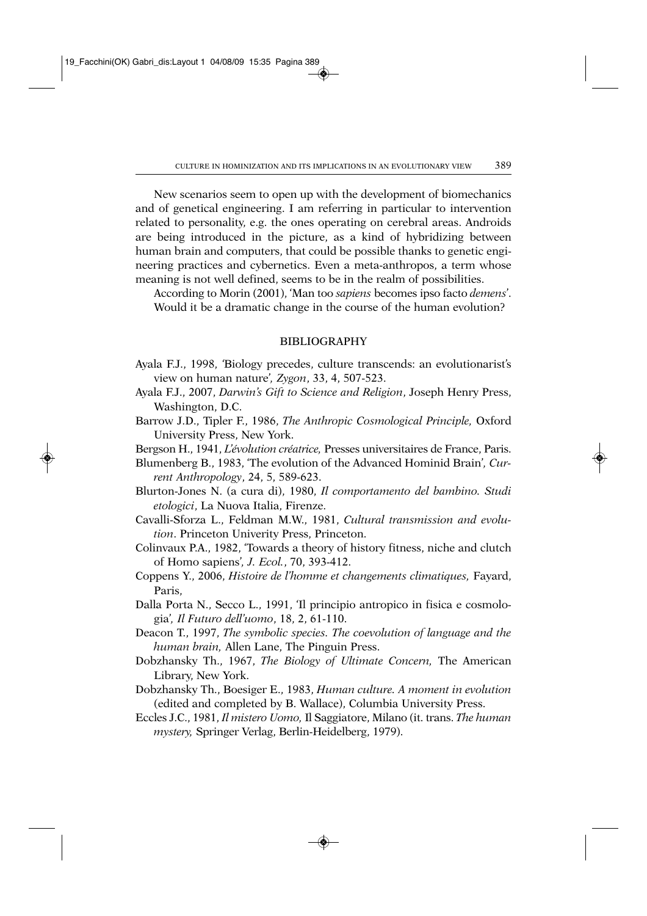New scenarios seem to open up with the development of biomechanics and of genetical engineering. I am referring in particular to intervention related to personality, e.g. the ones operating on cerebral areas. Androids are being introduced in the picture, as a kind of hybridizing between human brain and computers, that could be possible thanks to genetic engineering practices and cybernetics. Even a meta-anthropos, a term whose meaning is not well defined, seems to be in the realm of possibilities.

According to Morin (2001), 'Man too *sapiens* becomes ipso facto *demens*'. Would it be a dramatic change in the course of the human evolution?

#### BIBLIOGRAPHY

- Ayala F.J., 1998, *'*Biology precedes, culture transcends: an evolutionarist's view on human nature'*, Zygon*, 33, 4, 507-523.
- Ayala F.J., 2007, *Darwin's Gift to Science and Religion*, Joseph Henry Press, Washington, D.C.
- Barrow J.D., Tipler F., 1986, *The Anthropic Cosmological Principle,* Oxford University Press, New York.
- Bergson H., 1941, *L'évolution créatrice,* Presses universitaires de France, Paris.

Blumenberg B., 1983, 'The evolution of the Advanced Hominid Brain'*, Current Anthropology*, 24, 5, 589-623.

- Blurton-Jones N. (a cura di), 1980, *Il comportamento del bambino. Studi etologici*, La Nuova Italia, Firenze.
- Cavalli-Sforza L., Feldman M.W., 1981, *Cultural transmission and evolution*. Princeton Univerity Press, Princeton.
- Colinvaux P.A., 1982, 'Towards a theory of history fitness, niche and clutch of Homo sapiens'*, J. Ecol.*, 70, 393-412.
- Coppens Y., 2006, *Histoire de l'homme et changements climatiques,* Fayard, Paris,
- Dalla Porta N., Secco L., 1991, 'Il principio antropico in fisica e cosmologia'*, Il Futuro dell'uomo*, 18, 2, 61-110.
- Deacon T., 1997, *The symbolic species. The coevolution of language and the human brain,* Allen Lane, The Pinguin Press.
- Dobzhansky Th., 1967, *The Biology of Ultimate Concern,* The American Library, New York.
- Dobzhansky Th., Boesiger E., 1983, *Human culture. A moment in evolution* (edited and completed by B. Wallace), Columbia University Press.
- Eccles J.C., 1981, *Il mistero Uomo,* Il Saggiatore, Milano (it. trans. *The human mystery,* Springer Verlag, Berlin-Heidelberg, 1979).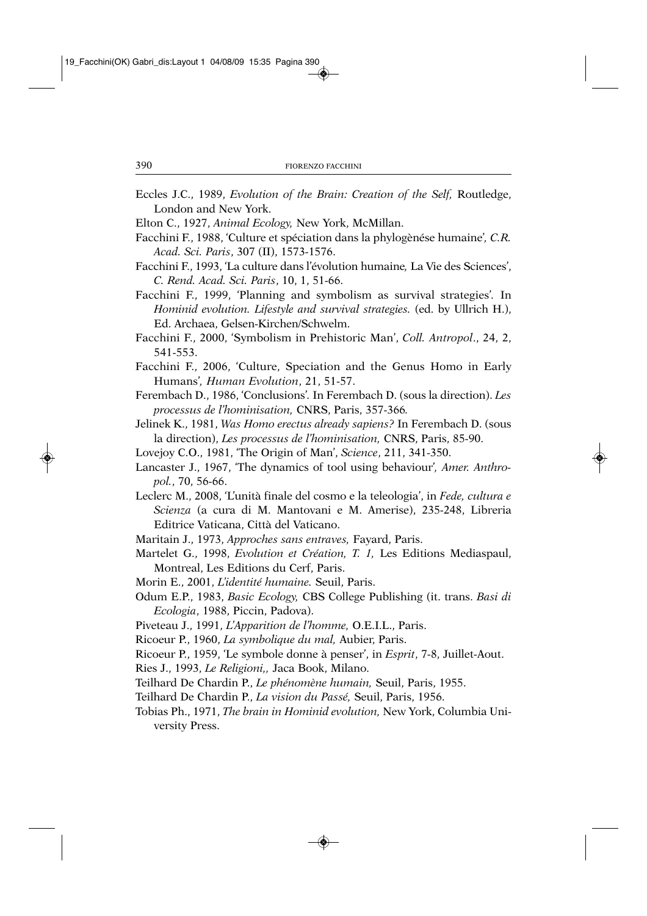- Eccles J.C., 1989, *Evolution of the Brain: Creation of the Self,* Routledge, London and New York.
- Elton C., 1927, *Animal Ecology,* New York, McMillan.
- Facchini F., 1988, 'Culture et spéciation dans la phylogènése humaine'*, C.R. Acad. Sci. Paris*, 307 (II), 1573-1576.
- Facchini F., 1993, 'La culture dans l'évolution humaine*,* La Vie des Sciences', *C. Rend. Acad. Sci. Paris*, 10, 1, 51-66.
- Facchini F., 1999, 'Planning and symbolism as survival strategies'*.* In *Hominid evolution. Lifestyle and survival strategies.* (ed. by Ullrich H.), Ed. Archaea, Gelsen-Kirchen/Schwelm.
- Facchini F., 2000, 'Symbolism in Prehistoric Man', *Coll. Antropol*., 24, 2, 541-553.
- Facchini F., 2006, 'Culture, Speciation and the Genus Homo in Early Humans'*, Human Evolution*, 21, 51-57.
- Ferembach D., 1986, 'Conclusions'*.* In Ferembach D. (sous la direction). *Les processus de l'hominisation,* CNRS, Paris, 357-366*.*
- Jelinek K., 1981, *Was Homo erectus already sapiens?* In Ferembach D. (sous la direction), *Les processus de l'hominisation,* CNRS, Paris, 85-90.
- Lovejoy C.O., 1981, 'The Origin of Man', *Science*, 211, 341-350.
- Lancaster J., 1967, 'The dynamics of tool using behaviour'*, Amer. Anthropol.*, 70, 56-66.
- Leclerc M., 2008, 'L'unità finale del cosmo e la teleologia', in *Fede, cultura e Scienza* (a cura di M. Mantovani e M. Amerise), 235-248, Libreria Editrice Vaticana, Città del Vaticano.
- Maritain J., 1973, *Approches sans entraves,* Fayard, Paris.
- Martelet G., 1998, *Evolution et Création, T. 1,* Les Editions Mediaspaul, Montreal, Les Editions du Cerf, Paris.
- Morin E., 2001, *L'identité humaine.* Seuil, Paris.
- Odum E.P., 1983, *Basic Ecology,* CBS College Publishing (it. trans. *Basi di Ecologia*, 1988, Piccin, Padova).
- Piveteau J., 1991, *L'Apparition de l'homme,* O.E.I.L., Paris.
- Ricoeur P., 1960, *La symbolique du mal,* Aubier, Paris.
- Ricoeur P., 1959, 'Le symbole donne à penser', in *Esprit*, 7-8, Juillet-Aout.

Ries J., 1993, *Le Religioni,,* Jaca Book, Milano.

- Teilhard De Chardin P., *Le phénomène humain,* Seuil, Paris, 1955.
- Teilhard De Chardin P., *La vision du Passé,* Seuil, Paris, 1956.
- Tobias Ph., 1971, *The brain in Hominid evolution,* New York, Columbia University Press.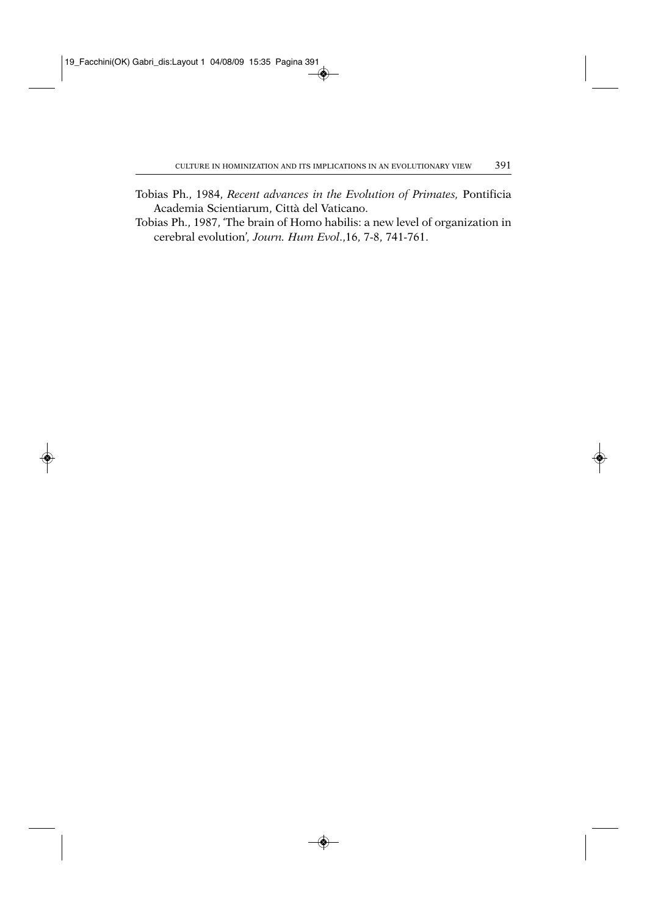- Tobias Ph., 1984, *Recent advances in the Evolution of Primates,* Pontificia Academia Scientiarum, Città del Vaticano.
- Tobias Ph., 1987, 'The brain of Homo habilis: a new level of organization in cerebral evolution'*, Journ. Hum Evol*.,16, 7-8, 741-761.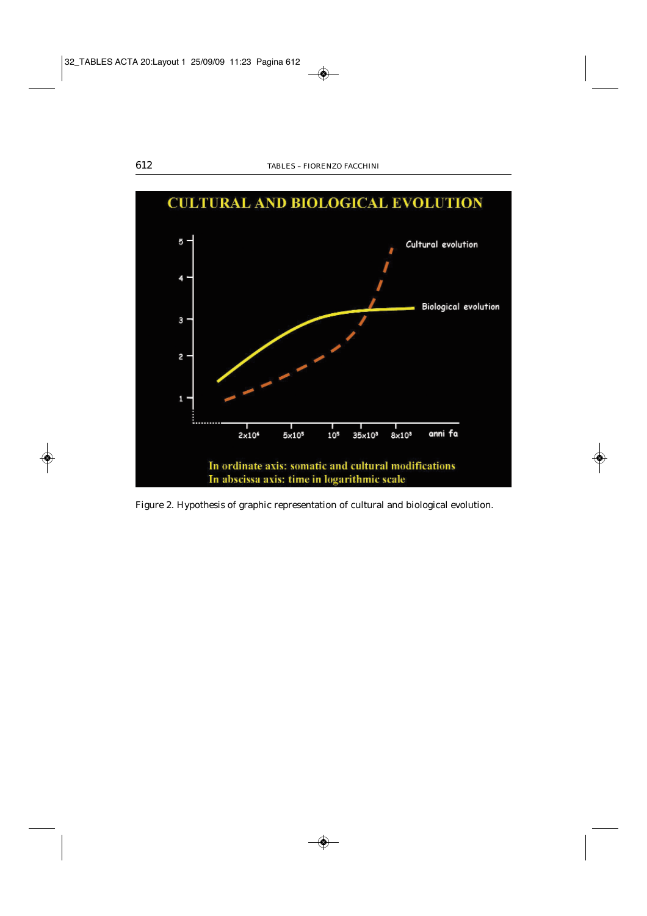

Figure 2. Hypothesis of graphic representation of cultural and biological evolution.